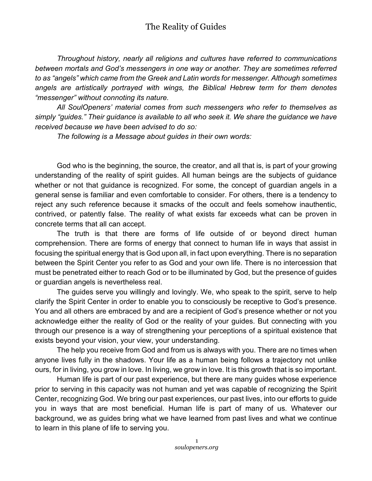## The Reality of Guides

*Throughout history, nearly all religions and cultures have referred to communications between mortals and God's messengers in one way or another. They are sometimes referred to as "angels" which came from the Greek and Latin words for messenger. Although sometimes angels are artistically portrayed with wings, the Biblical Hebrew term for them denotes "messenger" without connoting its nature.*

*All SoulOpeners' material comes from such messengers who refer to themselves as simply "guides." Their guidance is available to all who seek it. We share the guidance we have received because we have been advised to do so:*

*The following is a Message about guides in their own words:*

God who is the beginning, the source, the creator, and all that is, is part of your growing understanding of the reality of spirit guides. All human beings are the subjects of guidance whether or not that guidance is recognized. For some, the concept of guardian angels in a general sense is familiar and even comfortable to consider. For others, there is a tendency to reject any such reference because it smacks of the occult and feels somehow inauthentic, contrived, or patently false. The reality of what exists far exceeds what can be proven in concrete terms that all can accept.

The truth is that there are forms of life outside of or beyond direct human comprehension. There are forms of energy that connect to human life in ways that assist in focusing the spiritual energy that is God upon all, in fact upon everything. There is no separation between the Spirit Center you refer to as God and your own life. There is no intercession that must be penetrated either to reach God or to be illuminated by God, but the presence of guides or guardian angels is nevertheless real.

The guides serve you willingly and lovingly. We, who speak to the spirit, serve to help clarify the Spirit Center in order to enable you to consciously be receptive to God's presence. You and all others are embraced by and are a recipient of God's presence whether or not you acknowledge either the reality of God or the reality of your guides. But connecting with you through our presence is a way of strengthening your perceptions of a spiritual existence that exists beyond your vision, your view, your understanding.

The help you receive from God and from us is always with you. There are no times when anyone lives fully in the shadows. Your life as a human being follows a trajectory not unlike ours, for in living, you grow in love. In living, we grow in love. It is this growth that is so important.

Human life is part of our past experience, but there are many guides whose experience prior to serving in this capacity was not human and yet was capable of recognizing the Spirit Center, recognizing God. We bring our past experiences, our past lives, into our efforts to guide you in ways that are most beneficial. Human life is part of many of us. Whatever our background, we as guides bring what we have learned from past lives and what we continue to learn in this plane of life to serving you.